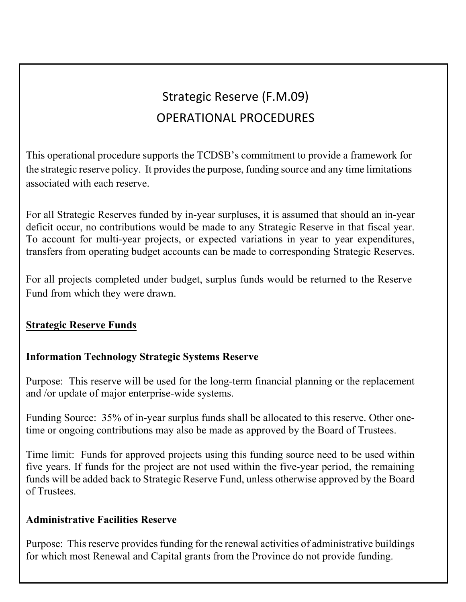# Strategic Reserve (F.M.09) OPERATIONAL PROCEDURES

This operational procedure supports the TCDSB's commitment to provide a framework for the strategic reserve policy. It provides the purpose, funding source and any time limitations associated with each reserve.

For all Strategic Reserves funded by in-year surpluses, it is assumed that should an in-year deficit occur, no contributions would be made to any Strategic Reserve in that fiscal year. To account for multi-year projects, or expected variations in year to year expenditures, transfers from operating budget accounts can be made to corresponding Strategic Reserves.

For all projects completed under budget, surplus funds would be returned to the Reserve Fund from which they were drawn.

## **Strategic Reserve Funds**

## **Information Technology Strategic Systems Reserve**

Purpose: This reserve will be used for the long-term financial planning or the replacement and /or update of major enterprise-wide systems.

Funding Source: 35% of in-year surplus funds shall be allocated to this reserve. Other onetime or ongoing contributions may also be made as approved by the Board of Trustees.

Time limit: Funds for approved projects using this funding source need to be used within five years. If funds for the project are not used within the five-year period, the remaining funds will be added back to Strategic Reserve Fund, unless otherwise approved by the Board of Trustees.

#### **Administrative Facilities Reserve**

Purpose: This reserve provides funding for the renewal activities of administrative buildings for which most Renewal and Capital grants from the Province do not provide funding.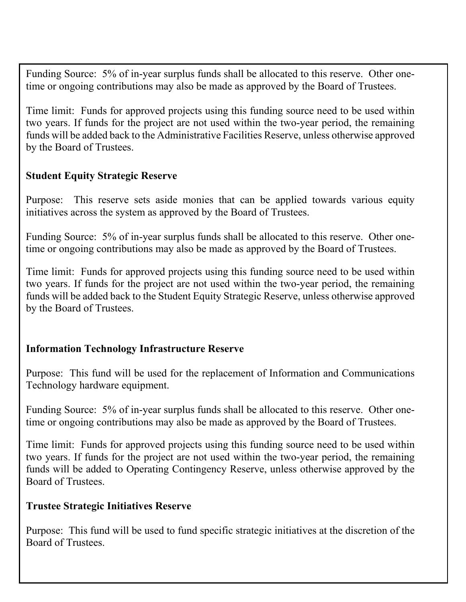Funding Source: 5% of in-year surplus funds shall be allocated to this reserve. Other onetime or ongoing contributions may also be made as approved by the Board of Trustees.

Time limit: Funds for approved projects using this funding source need to be used within two years. If funds for the project are not used within the two-year period, the remaining funds will be added back to the Administrative Facilities Reserve, unless otherwise approved by the Board of Trustees.

#### **Student Equity Strategic Reserve**

Purpose: This reserve sets aside monies that can be applied towards various equity initiatives across the system as approved by the Board of Trustees.

Funding Source: 5% of in-year surplus funds shall be allocated to this reserve. Other onetime or ongoing contributions may also be made as approved by the Board of Trustees.

Time limit: Funds for approved projects using this funding source need to be used within two years. If funds for the project are not used within the two-year period, the remaining funds will be added back to the Student Equity Strategic Reserve, unless otherwise approved by the Board of Trustees.

#### **Information Technology Infrastructure Reserve**

Purpose: This fund will be used for the replacement of Information and Communications Technology hardware equipment.

Funding Source: 5% of in-year surplus funds shall be allocated to this reserve. Other onetime or ongoing contributions may also be made as approved by the Board of Trustees.

Time limit: Funds for approved projects using this funding source need to be used within two years. If funds for the project are not used within the two-year period, the remaining funds will be added to Operating Contingency Reserve, unless otherwise approved by the Board of Trustees.

#### **Trustee Strategic Initiatives Reserve**

Purpose: This fund will be used to fund specific strategic initiatives at the discretion of the Board of Trustees.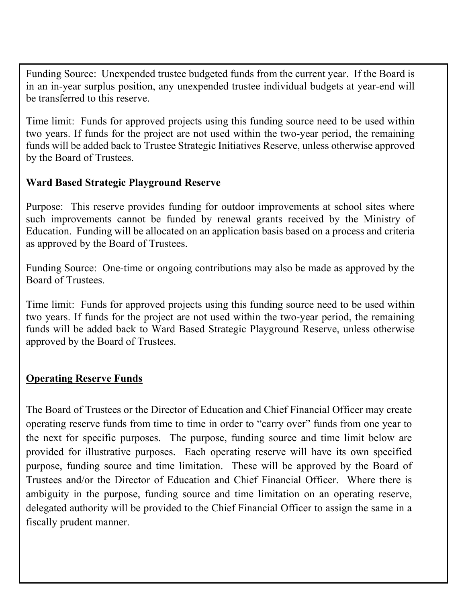Funding Source: Unexpended trustee budgeted funds from the current year. If the Board is in an in-year surplus position, any unexpended trustee individual budgets at year-end will be transferred to this reserve.

Time limit: Funds for approved projects using this funding source need to be used within two years. If funds for the project are not used within the two-year period, the remaining funds will be added back to Trustee Strategic Initiatives Reserve, unless otherwise approved by the Board of Trustees.

#### **Ward Based Strategic Playground Reserve**

Purpose: This reserve provides funding for outdoor improvements at school sites where such improvements cannot be funded by renewal grants received by the Ministry of Education. Funding will be allocated on an application basis based on a process and criteria as approved by the Board of Trustees.

Funding Source: One-time or ongoing contributions may also be made as approved by the Board of Trustees.

Time limit: Funds for approved projects using this funding source need to be used within two years. If funds for the project are not used within the two-year period, the remaining funds will be added back to Ward Based Strategic Playground Reserve, unless otherwise approved by the Board of Trustees.

#### **Operating Reserve Funds**

The Board of Trustees or the Director of Education and Chief Financial Officer may create operating reserve funds from time to time in order to "carry over" funds from one year to the next for specific purposes. The purpose, funding source and time limit below are provided for illustrative purposes. Each operating reserve will have its own specified purpose, funding source and time limitation. These will be approved by the Board of Trustees and/or the Director of Education and Chief Financial Officer. Where there is ambiguity in the purpose, funding source and time limitation on an operating reserve, delegated authority will be provided to the Chief Financial Officer to assign the same in a fiscally prudent manner.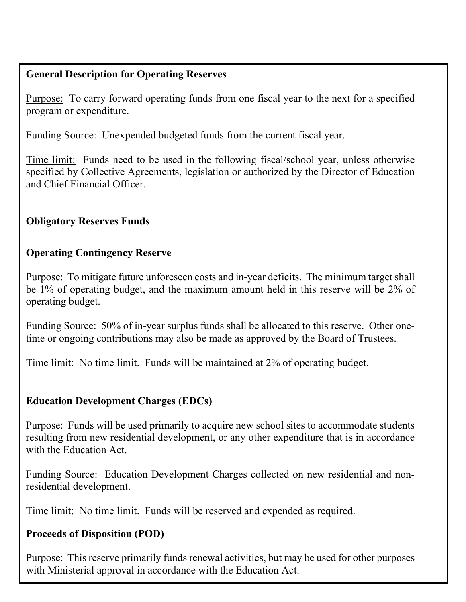## **General Description for Operating Reserves**

Purpose: To carry forward operating funds from one fiscal year to the next for a specified program or expenditure.

Funding Source: Unexpended budgeted funds from the current fiscal year.

Time limit: Funds need to be used in the following fiscal/school year, unless otherwise specified by Collective Agreements, legislation or authorized by the Director of Education and Chief Financial Officer.

## **Obligatory Reserves Funds**

### **Operating Contingency Reserve**

Purpose: To mitigate future unforeseen costs and in-year deficits. The minimum target shall be 1% of operating budget, and the maximum amount held in this reserve will be 2% of operating budget.

Funding Source: 50% of in-year surplus funds shall be allocated to this reserve. Other onetime or ongoing contributions may also be made as approved by the Board of Trustees.

Time limit: No time limit. Funds will be maintained at 2% of operating budget.

## **Education Development Charges (EDCs)**

Purpose: Funds will be used primarily to acquire new school sites to accommodate students resulting from new residential development, or any other expenditure that is in accordance with the Education Act.

Funding Source: Education Development Charges collected on new residential and nonresidential development.

Time limit: No time limit. Funds will be reserved and expended as required.

#### **Proceeds of Disposition (POD)**

Purpose: This reserve primarily funds renewal activities, but may be used for other purposes with Ministerial approval in accordance with the Education Act.